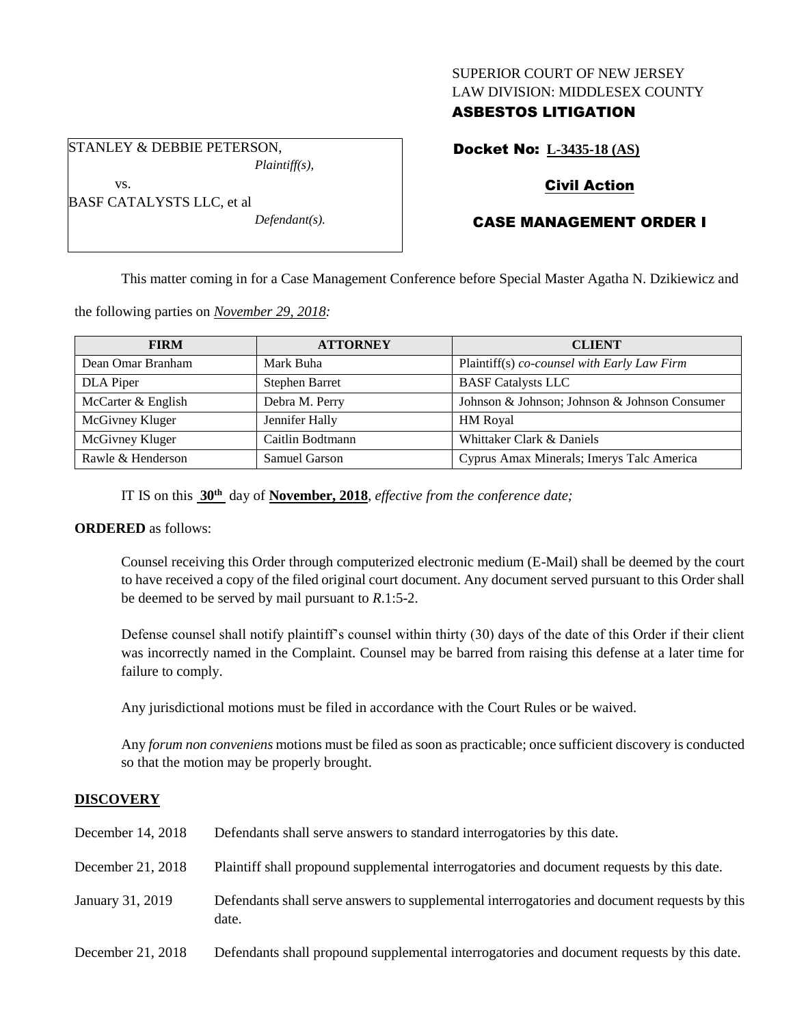## SUPERIOR COURT OF NEW JERSEY LAW DIVISION: MIDDLESEX COUNTY

# ASBESTOS LITIGATION

STANLEY & DEBBIE PETERSON,

BASF CATALYSTS LLC, et al

vs.

*Plaintiff(s),*

*Defendant(s).*

Docket No: **L-3435-18 (AS)**

# Civil Action

# CASE MANAGEMENT ORDER I

This matter coming in for a Case Management Conference before Special Master Agatha N. Dzikiewicz and

the following parties on *November 29, 2018:*

| <b>FIRM</b>        | <b>ATTORNEY</b>       | <b>CLIENT</b>                                 |
|--------------------|-----------------------|-----------------------------------------------|
| Dean Omar Branham  | Mark Buha             | Plaintiff(s) co-counsel with Early Law Firm   |
| DLA Piper          | <b>Stephen Barret</b> | <b>BASF</b> Catalysts LLC                     |
| McCarter & English | Debra M. Perry        | Johnson & Johnson; Johnson & Johnson Consumer |
| McGivney Kluger    | Jennifer Hally        | <b>HM</b> Royal                               |
| McGivney Kluger    | Caitlin Bodtmann      | Whittaker Clark & Daniels                     |
| Rawle & Henderson  | Samuel Garson         | Cyprus Amax Minerals; Imerys Talc America     |

IT IS on this **30th** day of **November, 2018**, *effective from the conference date;*

# **ORDERED** as follows:

Counsel receiving this Order through computerized electronic medium (E-Mail) shall be deemed by the court to have received a copy of the filed original court document. Any document served pursuant to this Order shall be deemed to be served by mail pursuant to *R*.1:5-2.

Defense counsel shall notify plaintiff's counsel within thirty (30) days of the date of this Order if their client was incorrectly named in the Complaint. Counsel may be barred from raising this defense at a later time for failure to comply.

Any jurisdictional motions must be filed in accordance with the Court Rules or be waived.

Any *forum non conveniens* motions must be filed as soon as practicable; once sufficient discovery is conducted so that the motion may be properly brought.

## **DISCOVERY**

| December 14, 2018 | Defendants shall serve answers to standard interrogatories by this date.                              |
|-------------------|-------------------------------------------------------------------------------------------------------|
| December 21, 2018 | Plaintiff shall propound supplemental interrogatories and document requests by this date.             |
| January 31, 2019  | Defendants shall serve answers to supplemental interrogatories and document requests by this<br>date. |
| December 21, 2018 | Defendants shall propound supplemental interrogatories and document requests by this date.            |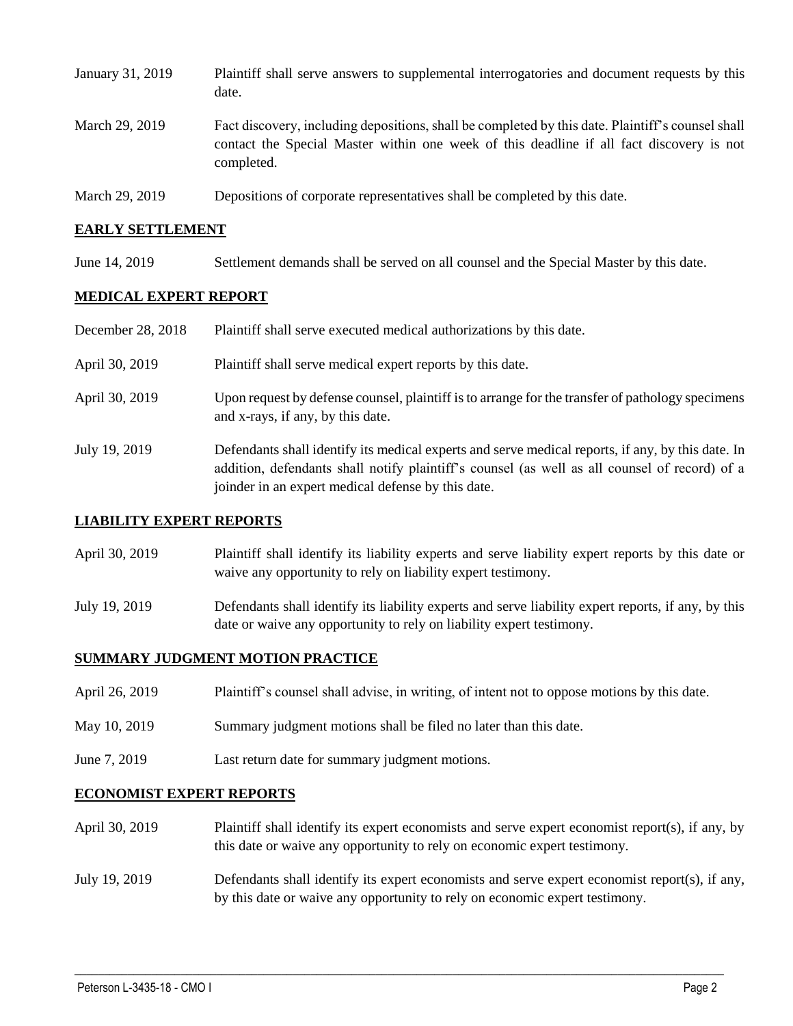| January 31, 2019 | Plaintiff shall serve answers to supplemental interrogatories and document requests by this<br>date.                                                                                                        |
|------------------|-------------------------------------------------------------------------------------------------------------------------------------------------------------------------------------------------------------|
| March 29, 2019   | Fact discovery, including depositions, shall be completed by this date. Plaintiff's counsel shall<br>contact the Special Master within one week of this deadline if all fact discovery is not<br>completed. |
| March 29, 2019   | Depositions of corporate representatives shall be completed by this date.                                                                                                                                   |

### **EARLY SETTLEMENT**

June 14, 2019 Settlement demands shall be served on all counsel and the Special Master by this date.

### **MEDICAL EXPERT REPORT**

| December 28, 2018 | Plaintiff shall serve executed medical authorizations by this date.                                                                                                                                                                                      |
|-------------------|----------------------------------------------------------------------------------------------------------------------------------------------------------------------------------------------------------------------------------------------------------|
| April 30, 2019    | Plaintiff shall serve medical expert reports by this date.                                                                                                                                                                                               |
| April 30, 2019    | Upon request by defense counsel, plaintiff is to arrange for the transfer of pathology specimens<br>and x-rays, if any, by this date.                                                                                                                    |
| July 19, 2019     | Defendants shall identify its medical experts and serve medical reports, if any, by this date. In<br>addition, defendants shall notify plaintiff's counsel (as well as all counsel of record) of a<br>joinder in an expert medical defense by this date. |

#### **LIABILITY EXPERT REPORTS**

- April 30, 2019 Plaintiff shall identify its liability experts and serve liability expert reports by this date or waive any opportunity to rely on liability expert testimony.
- July 19, 2019 Defendants shall identify its liability experts and serve liability expert reports, if any, by this date or waive any opportunity to rely on liability expert testimony.

# **SUMMARY JUDGMENT MOTION PRACTICE**

- April 26, 2019 Plaintiff's counsel shall advise, in writing, of intent not to oppose motions by this date.
- May 10, 2019 Summary judgment motions shall be filed no later than this date.
- June 7, 2019 Last return date for summary judgment motions.

#### **ECONOMIST EXPERT REPORTS**

- April 30, 2019 Plaintiff shall identify its expert economists and serve expert economist report(s), if any, by this date or waive any opportunity to rely on economic expert testimony.
- July 19, 2019 Defendants shall identify its expert economists and serve expert economist report(s), if any, by this date or waive any opportunity to rely on economic expert testimony.

 $\_$  ,  $\_$  ,  $\_$  ,  $\_$  ,  $\_$  ,  $\_$  ,  $\_$  ,  $\_$  ,  $\_$  ,  $\_$  ,  $\_$  ,  $\_$  ,  $\_$  ,  $\_$  ,  $\_$  ,  $\_$  ,  $\_$  ,  $\_$  ,  $\_$  ,  $\_$  ,  $\_$  ,  $\_$  ,  $\_$  ,  $\_$  ,  $\_$  ,  $\_$  ,  $\_$  ,  $\_$  ,  $\_$  ,  $\_$  ,  $\_$  ,  $\_$  ,  $\_$  ,  $\_$  ,  $\_$  ,  $\_$  ,  $\_$  ,